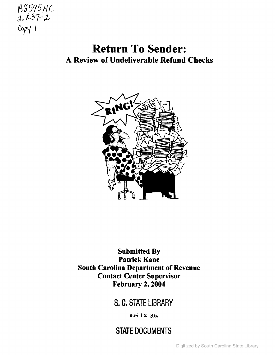

# Return To Sender: A Review of Undeliverable Refund Checks



## Submitted By Patrick Kane South Carolina Department of Revenue Contact Center Supervisor February 2, 2004

## s. C. STATE LIBRARY

**AUG 12 2004** 

# STATE DOCUMENTS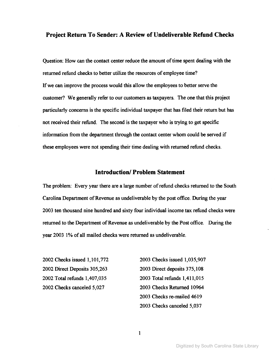#### **Project Return To Sender: A Review of Undeliverable Refund Checks**

Question: How can the contact center reduce the amount of time spent dealing with the returned refund checks to better utilize the resources of employee time? If we can improve the process would this allow the employees to better serve the customer? We generally refer to our customers as taxpayers. The one that this project particularly concerns is the specific individual taxpayer that has filed their return but has not received their refund. The second is the taxpayer who is trying to get specific information from the department through the contact center whom could be served if these employees were not spending their time dealing with returned refund checks.

#### **Introduction! Problem Statement**

The problem: Every year there are a large number of refund checks returned to the South Carolina Department of Revenue as undeliverable by the post office. During the year 2003 ten thousand nine hundred and sixty four individual income tax refund checks were returned to the Department of Revenue as undeliverable by the Post office. During the year 2003 1% of all mailed checks were returned as undeliverable.

 Checks issued 1,101,772 Direct Deposits 305,263 Total refunds 1,407,035 Checks canceled 5,027

 Checks issued 1,035,907 Direct deposits 375,108 Total refunds 1,411,015 Checks Returned 10964 Checks re-mailed 4619 Checks canceled 5,037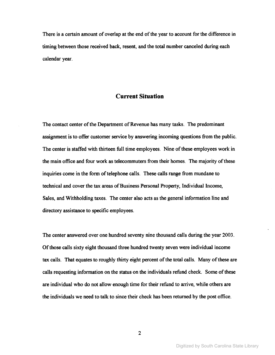There is a certain amount of overlap at the end of the year to account for the difference in timing between those received back, resent, and the total number canceled during each calendar year.

#### **Current Situation**

The contact center of the Department of Revenue has many tasks. The predominant assignment is to offer customer service by answering incoming questions from the public. The center is staffed with thirteen full time employees. Nine of these employees work in the main office and four work as telecommuters from their homes. The majority of these inquiries come in the form of telephone calls. These calls range from mundane to technical and cover the tax areas of Business Personal Property, Individual Income, Sales, and Withholding taxes. The center also acts as the general information line and directory assistance to specific employees.

The center answered over one hundred seventy nine thousand calls during the year 2003. Ofthose calls sixty eight thousand three hundred twenty seven were individual income tax calls. That equates to roughly thirty eight percent of the total calls. Many of these are calls requesting information on the status on the individuals refund check. Some of these are individual who do not allow enough time for their refund to arrive, while others are the individuals we need to talk to since their check has been returned by the post office.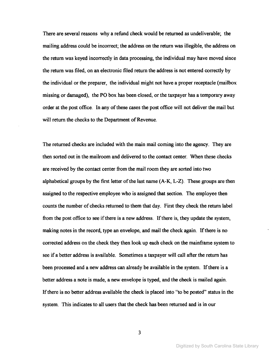There are several reasons why a refund check would be returned as undeliverable; the mailing address could be incorrect; the address on the return was illegible, the address on the return was keyed incorrectly in data processing, the individual may have moved since the return was filed, on an electronic filed return the address is not entered correctly by the individual or the preparer, the individual might not have a proper receptacle (mailbox missing or damaged), the PO box has been closed, or the taxpayer has a temporary away order at the post office. In any of these cases the post office will not deliver the mail but will return the checks to the Department of Revenue.

The returned checks are included with the main mail coming into the agency. They are then sorted out in the mailroom and delivered to the contact center. When these checks are received by the contact center from the mail room they are sorted into two alphabetical groups by the first letter of the last name  $(A-K, L-Z)$ . These groups are then assigned to the respective employee who is assigned that section. The employee then counts the number of checks returned to them that day. First they check the return label from the post office to see if there is a new address. If there is, they update the system, making notes in the record, type an envelope, and mail the check again. If there is no corrected address on the check they then look up each check on the mainframe system to see if a better address is available. Sometimes a taxpayer will call after the return has been processed and <sup>a</sup> new address can already be available in the system. Ifthere is <sup>a</sup> better address a note is made, a new envelope is typed, and the check is mailed again. Ifthere is no better address available the check is placed into "to be posted" status in the system. This indicates to all users that the check has been returned and is in our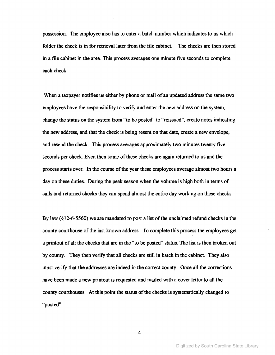possession. The employee also has to enter a batch number which indicates to us which folder the check is in for retrieval later from the file cabinet. The checks are then stored in a file cabinet in the area. This process averages one minute five seconds to complete each check.

When a taxpayer notifies us either by phone or mail of an updated address the same two employees have the responsibility to verify and enter the new address on the system, change the status on the system from "to be posted" to "reissued", create notes indicating the new address, and that the check is being resent on that date, create a new envelope, and resend the check. This process averages approximately two minutes twenty five seconds per check. Even then some of these checks are again returned to us and the process starts over. In the course of the year these employees average almost two hours a day on these duties. During the peak season when the volume is high both in terms of calls and returned checks they can spend almost the entire day working on these checks.

By law  $(\S12-6-5560)$  we are mandated to post a list of the unclaimed refund checks in the county courthouse of the last known address. To complete this process the employees get a printout of all the checks that are in the "to be posted" status. The list is then broken out by county. They then verify that all checks are still in batch in the cabinet. They also must verify that the addresses are indeed in the correct county. Once all the corrections have been made a new printout is requested and mailed with a cover letter to all the county courthouses. At this point the status of the checks is systematically changed to "posted".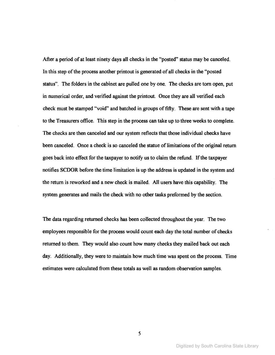After a period of at least ninety days all checks in the "posted" status may be canceled. In this step of the process another printout is generated of all checks in the "posted status". The folders in the cabinet are pulled one by one. The checks are tom open, put in numerical order, and verified against the printout. Once they are all verified each check must be stamped "void" and batched in groups of fifty. These are sent with a tape to the Treasurers office. This step in the process can take up to three weeks to complete. The checks are then canceled and our system reflects that those individual checks have been canceled. Once a check is so canceled the statue of limitations of the original return goes back into effect for the taxpayer to notify us to claim the refund. If the taxpayer notifies SCDOR before the time limitation is up the address is updated in the system and the return is reworked and a new check is mailed. All users have this capability. The system generates and mails the check with no other tasks preformed by the section.

The data regarding returned checks has been collected throughout the year. The two employees responsible for the process would count each day the total number of checks returned to them. They would also count how many checks they mailed back out each day. Additionally, they were to maintain how much time was spent on the process. Time estimates were calculated from these totals as well as random observation samples.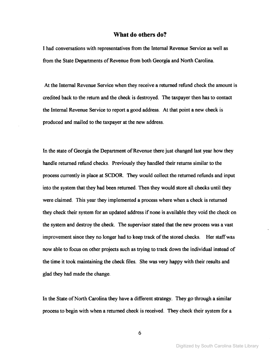#### **What do others do?**

I had conversations with representatives from the Internal Revenue Service as well as from the State Departments of Revenue from both Georgia and North Carolina.

At the Internal Revenue Service when they receive a returned refund check the amount is credited back to the return and the check is destroyed. The taxpayer then has to contact the Internal Revenue Service to report a good address. At that point a new check is produced and mailed to the taxpayer at the new address.

In the state of Georgia the Department of Revenue there just changed last year how they handle returned refund checks. Previously they handled their returns similar to the process currently in place at SCDOR. They would collect the returned refunds and input into the system that they had been returned. Then they would store all checks until they were claimed. This year they implemented a process where when a check is returned they check their system for an updated address if none is available they void the check on the system and destroy the check. The supervisor stated that the new process was a vast improvement since they no longer had to keep track of the stored checks. Her staff was now able to focus on other projects such as trying to track down the individual instead of the time it took maintaining the check files. She was very happy with their results and glad they had made the change.

In the State of North Carolina they have a different strategy. They go through a similar process to begin with when a returned check is received. They check their system for a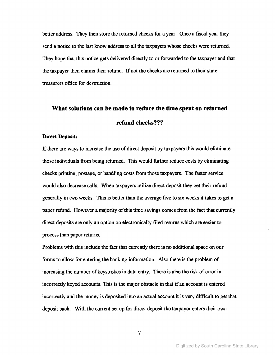better address. They then store the returned checks for a year. Once a fiscal year they send a notice to the last know address to all the taxpayers whose checks were returned. They hope that this notice gets delivered directly to or forwarded to the taxpayer and that the taxpayer then claims their refund. If not the checks are returned to their state treasurers office for destruction.

## What solutions can be made to reduce the time spent on returned refund checks???

#### Direct Deposit:

If there are ways to increase the use of direct deposit by taxpayers this would eliminate those individuals from being returned. This would further reduce costs by eliminating checks printing, postage, or handling costs from those taxpayers. The faster service would also decrease calls. When taxpayers utilize direct deposit they get their refund generally in two weeks. This is better than the average five to six weeks it takes to get a paper refund. However a majority of this time savings comes from the fact that currently direct deposits are only an option on electronically filed returns which are easier to process than paper returns.

Problems with this include the fact that currently there is no additional space on our forms to allow for entering the banking information. Also there is the problem of increasing the number of keystrokes in data entry. There is also the risk of error in incorrectly keyed accounts. This is the major obstacle in that if an account is entered incorrectly and the money is deposited into an actual account it is very difficult to get that deposit back. With the current set up for direct deposit the taxpayer enters their own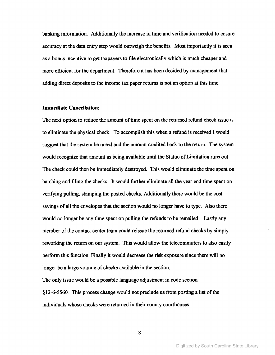banking information. Additionally the increase in time and verification needed to ensure accuracy at the data entry step would outweigh the benefits. Most importantly it is seen as a bonus incentive to get taxpayers to file electronically which is much cheaper and more efficient for the department. Therefore it has been decided by management that adding direct deposits to the income tax paper returns is not an option at this time.

#### **Immediate Cancellation:**

The next option to reduce the amount of time spent on the returned refund check issue is to eliminate the physical check. To accomplish this when a refund is received I would suggest that the system be noted and the amount credited back to the return. The system would recognize that amount as being available until the Statue ofLimitation runs out. The check could then be immediately destroyed. This would eliminate the time spent on batching and filing the checks. It would further eliminate all the year end time spent on verifying pulling, stamping the posted checks. Additionally there would be the cost savings of all the envelopes that the section would no longer have to type. Also there would no longer be any time spent on pulling the refunds to be remailed. Lastly any member of the contact center team could reissue the returned refund checks by simply reworking the return on our system. This would allow the telecommuters to also easily perform this function. Finally it would decrease the risk exposure since there will no longer be a large volume of checks available in the section.

The only issue would be a possible language adjustment in code section §12-6-5560. This process change would not preclude us from posting a list ofthe individuals whose checks were returned in their county courthouses.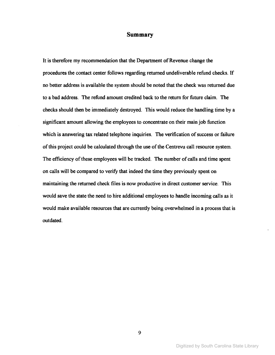#### **Summary**

It is therefore my recommendation that the Department of Revenue change the procedures the contact center follows regarding returned undeliverable refund checks. If no better address is available the system should be noted that the check was returned due to a bad address. The refund amount credited back to the return for future claim. The checks should then be immediately destroyed. This would reduce the handling time by a significant amount allowing the employees to concentrate on their main job function which is answering tax related telephone inquiries. The verification of success or failure ofthis project could be calculated through the use ofthe Centrevu call resource system. The efficiency of these employees will be tracked. The number of calls and time spent on calls will be compared to verify that indeed the time they previously spent on maintaining the returned check files is now productive in direct customer service. This would save the state the need to hire additional employees to handle incoming calls as it would make available resources that are currently being overwhelmed in a process that is outdated.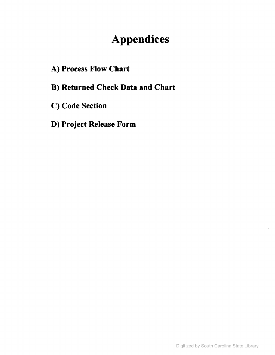# **Appendices**

- A) Process Flow Chart
- B) Returned Check Data and Chart
- C) Code Section
- D) Project Release Form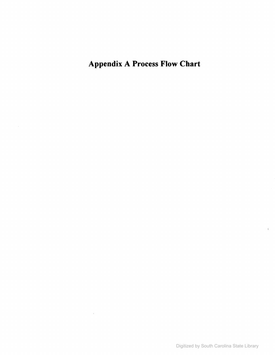Appendix A Process Flow Chart

 $\sim 10^{-11}$ 

 $\bar{z}$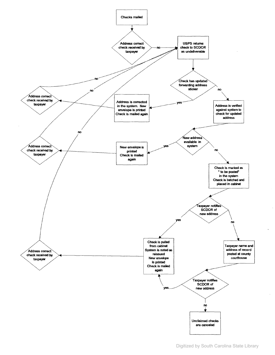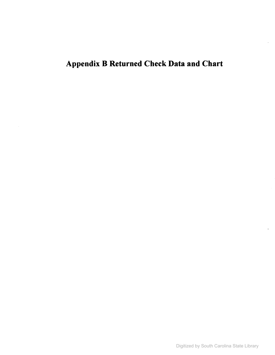# Appendix B Returned Check Data and Chart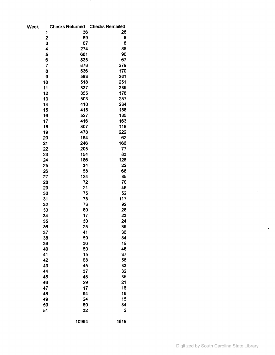| Week | <b>Checks Returned</b> | <b>Checks Remailed</b> |
|------|------------------------|------------------------|
| 1    | 36                     | 28                     |
| 2    | 69                     | 8                      |
| 3    | 67                     | 8                      |
| 4    | 274                    | 88                     |
| 5    | 661                    | 90                     |
| 6    | 835                    | 67                     |
| 7    | 878                    | 279                    |
| 8    | 536                    | 170                    |
| 9    | 583                    | 281                    |
| 10   | 518                    | 251                    |
| 11   | 337                    | 239                    |
| 12   | 855                    | 178                    |
| 13   | 503                    | 237                    |
| 14   | 410                    | 234                    |
| 15   | 415                    | 158                    |
| 16   | 527                    | 185                    |
| 17   | 416                    | 163                    |
| 18   | 307                    | 118                    |
| 19   | 478                    | 222                    |
| 20   | 164                    | 62                     |
| 21   | 246                    | 166                    |
| 22   | 205                    | 77                     |
| 23   | 154                    | 83                     |
| 24   | 186                    | 128                    |
| 25   | 34                     | 22                     |
| 26   | 58                     | 68                     |
| 27   | 124                    | 85                     |
| 28   | 72                     | 70                     |
| 29   | 21                     | 46                     |
| 30   | 75                     | 52                     |
| 31   | 73                     | 117                    |
| 32   | 73                     | 92                     |
| 33   | 80                     | 28                     |
| 34   | 17                     | 23                     |
| 35   | 30                     | 24                     |
| 36   | 25                     | 36                     |
| 37   | 41                     | 36                     |
| 38   | 59                     | 34                     |
| 39   | 36                     | 19                     |
| 40   | 50                     | 46                     |
| 41   | 15                     | 37                     |
| 42   | 68                     | 58                     |
| 43   | 45                     | 33                     |
| 44   | 37                     | 32                     |
| 45   | 45                     | 35                     |
| 46   | 29                     | 21                     |
| 47   | 17                     | 16                     |
| 48   | 64                     | 18                     |
| 49   | 24                     | 15                     |
| 50   | 60                     | 34                     |
| 51   | 32                     | $\overline{2}$         |
|      |                        |                        |
|      | 10964                  | 4619                   |

 $\sim$ 

 $\frac{1}{2}$ 

 $\ddot{\phantom{a}}$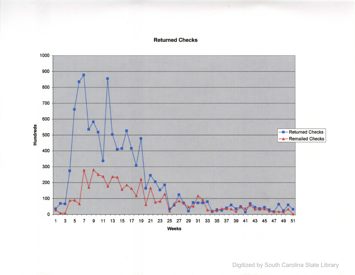### **Returned Checks**



Digitized by South Carolina State Library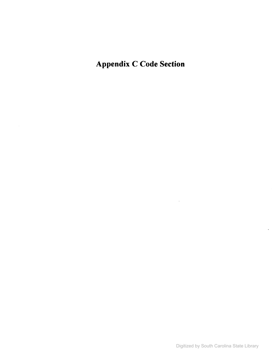Appendix C Code Section

 $\bar{z}$